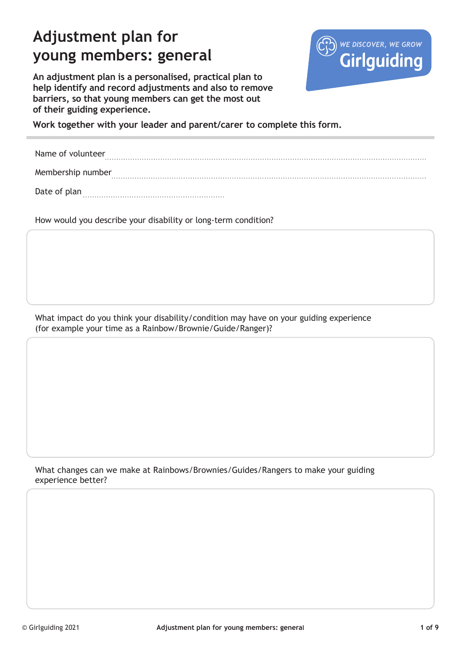# **Adjustment plan for young members: general**



**An adjustment plan is a personalised, practical plan to help identify and record adjustments and also to remove barriers, so that young members can get the most out of their guiding experience.** 

**Work together with your leader and parent/carer to complete this form.**

Name of volunteer Membership number

Date of plan

How would you describe your disability or long-term condition?

What impact do you think your disability/condition may have on your guiding experience (for example your time as a Rainbow/Brownie/Guide/Ranger)?

What changes can we make at Rainbows/Brownies/Guides/Rangers to make your guiding experience better?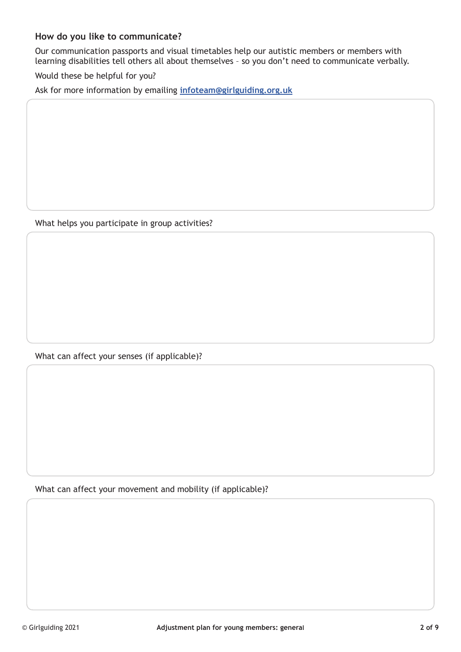### **How do you like to communicate?**

Our communication passports and visual timetables help our autistic members or members with learning disabilities tell others all about themselves – so you don't need to communicate verbally.

Would these be helpful for you?

Ask for more information by emailing **infoteam@girlguiding.org.uk**

What helps you participate in group activities?

What can affect your senses (if applicable)?

What can affect your movement and mobility (if applicable)?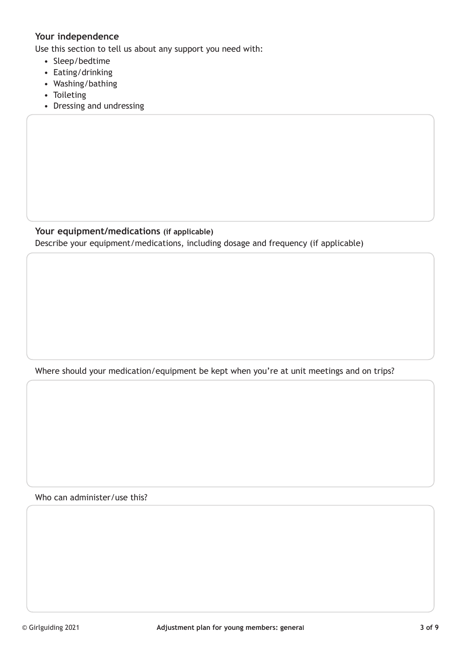## **Your independence**

Use this section to tell us about any support you need with:

- Sleep/bedtime
- Eating/drinking
- Washing/bathing
- Toileting
- Dressing and undressing

#### **Your equipment/medications (if applicable)**

Describe your equipment/medications, including dosage and frequency (if applicable)

Where should your medication/equipment be kept when you're at unit meetings and on trips?

Who can administer/use this?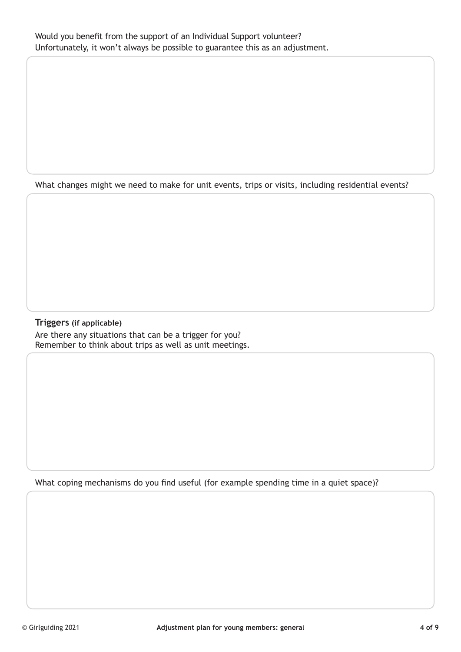What changes might we need to make for unit events, trips or visits, including residential events?

### **Triggers (if applicable)** Are there any situations that can be a trigger for you? Remember to think about trips as well as unit meetings.

What coping mechanisms do you find useful (for example spending time in a quiet space)?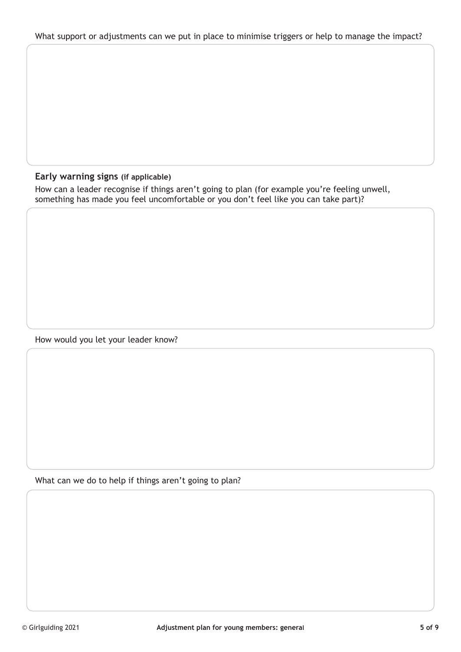## **Early warning signs (if applicable)**

How can a leader recognise if things aren't going to plan (for example you're feeling unwell, something has made you feel uncomfortable or you don't feel like you can take part)?

How would you let your leader know?

What can we do to help if things aren't going to plan?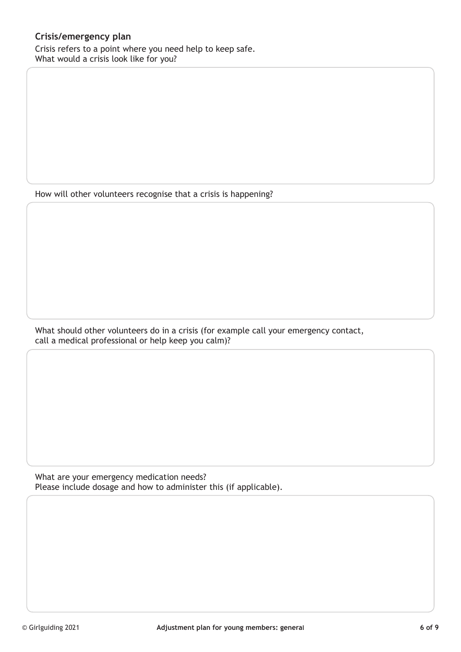## **Crisis/emergency plan**

Crisis refers to a point where you need help to keep safe. What would a crisis look like for you?

How will other volunteers recognise that a crisis is happening?

What should other volunteers do in a crisis (for example call your emergency contact, call a medical professional or help keep you calm)?

What are your emergency medication needs? Please include dosage and how to administer this (if applicable).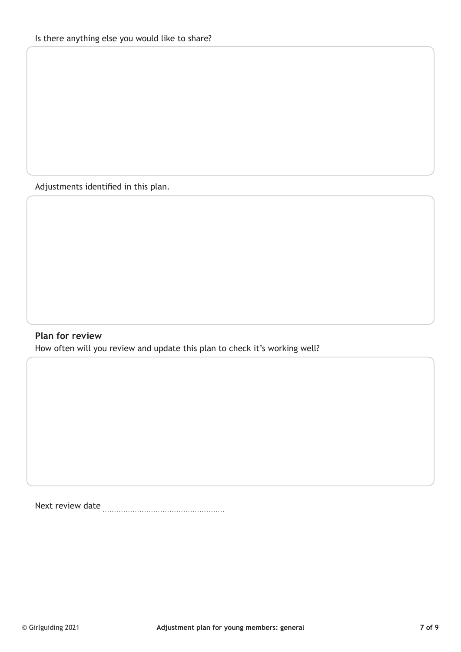Adjustments identified in this plan.

## **Plan for review**

How often will you review and update this plan to check it's working well?

Next review date **Markon** Mext review date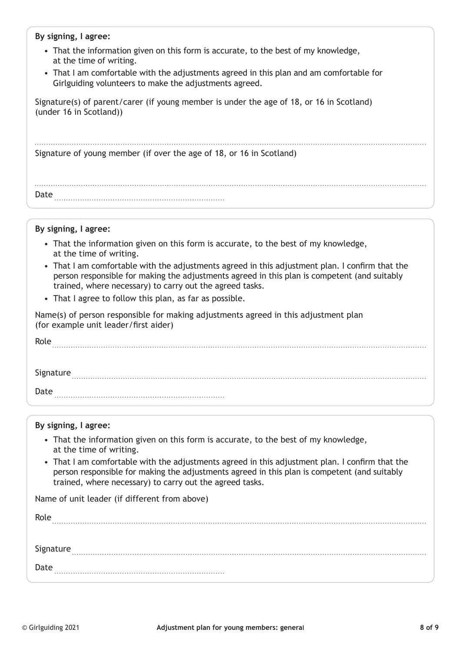#### **By signing, I agree:**

- That the information given on this form is accurate, to the best of my knowledge, at the time of writing.
- That I am comfortable with the adjustments agreed in this plan and am comfortable for Girlguiding volunteers to make the adjustments agreed.

Signature(s) of parent/carer (if young member is under the age of 18, or 16 in Scotland) (under 16 in Scotland))

Signature of young member (if over the age of 18, or 16 in Scotland)

Date

#### **By signing, I agree:**

- That the information given on this form is accurate, to the best of my knowledge, at the time of writing.
- That I am comfortable with the adjustments agreed in this adjustment plan. I confirm that the person responsible for making the adjustments agreed in this plan is competent (and suitably trained, where necessary) to carry out the agreed tasks.
- That I agree to follow this plan, as far as possible.

Name(s) of person responsible for making adjustments agreed in this adjustment plan (for example unit leader/first aider)

| Role      |  |
|-----------|--|
|           |  |
| Signature |  |
| Date      |  |

#### **By signing, I agree:**

- That the information given on this form is accurate, to the best of my knowledge, at the time of writing.
- That I am comfortable with the adjustments agreed in this adjustment plan. I confirm that the person responsible for making the adjustments agreed in this plan is competent (and suitably trained, where necessary) to carry out the agreed tasks.

Name of unit leader (if different from above)

Role Signature **continuum continuum continuum continuum continuum continuum continuum continuum continuum continuum continuum continuum continuum continuum continuum continuum continuum continuum continuum continuum continuum c** Date